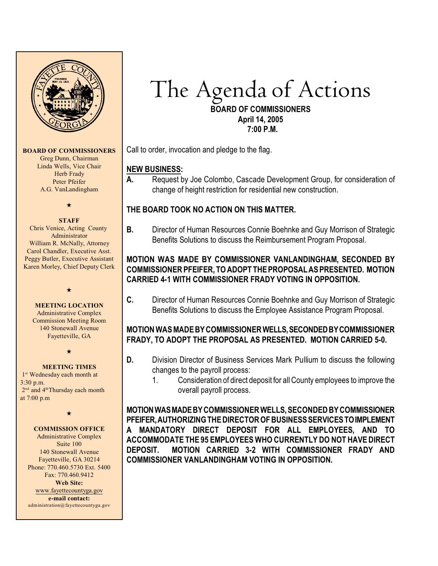

**BOARD OF COMMISSIONERS** Greg Dunn, Chairman

Linda Wells, Vice Chair Herb Frady Peter Pfeifer A.G. VanLandingham

## $\star$

#### **STAFF**

Chris Venice, Acting County Administrator William R. McNally, Attorney Carol Chandler, Executive Asst. Peggy Butler, Executive Assistant Karen Morley, Chief Deputy Clerk

#### **MEETING LOCATION**

 $\star$ 

Administrative Complex Commission Meeting Room 140 Stonewall Avenue Fayetteville, GA

 $\star$ 

#### **MEETING TIMES**

1<sup>st</sup> Wednesday each month at 3:30 p.m.  $2<sup>nd</sup>$  and  $4<sup>th</sup>$ Thursday each month at 7:00 p.m

 $\star$ 

#### **COMMISSION OFFICE**

Administrative Complex Suite 100 140 Stonewall Avenue Fayetteville, GA 30214 Phone: 770.460.5730 Ext. 5400 Fax: 770.460.9412 **Web Site:** [www.fayettecountyga.gov](http://www.admin.co.fayette.ga.us) **e-mail contact:** administration@fayettecountyga.gov

# *The Agenda* of Actions

**BOARD OF COMMISSIONERS April 14, 2005 7:00 P.M.**

Call to order, invocation and pledge to the flag.

#### **NEW BUSINESS:**

**A.** Request by Joe Colombo, Cascade Development Group, for consideration of change of height restriction for residential new construction.

# **THE BOARD TOOK NO ACTION ON THIS MATTER.**

**B.** Director of Human Resources Connie Boehnke and Guy Morrison of Strategic Benefits Solutions to discuss the Reimbursement Program Proposal.

## **MOTION WAS MADE BY COMMISSIONER VANLANDINGHAM, SECONDED BY COMMISSIONER PFEIFER, TO ADOPT THEPROPOSAL ASPRESENTED. MOTION CARRIED 4-1 WITH COMMISSIONER FRADY VOTING IN OPPOSITION.**

**C.** Director of Human Resources Connie Boehnke and Guy Morrison of Strategic Benefits Solutions to discuss the Employee Assistance Program Proposal.

## **MOTION WAS MADE BY COMMISSIONER WELLS, SECONDED BY COMMISSIONER FRADY, TO ADOPT THE PROPOSAL AS PRESENTED. MOTION CARRIED 5-0.**

- **D.** Division Director of Business Services Mark Pullium to discuss the following changes to the payroll process:
	- 1. Consideration of direct deposit for all County employees to improve the overall payroll process.

**MOTION WAS MADE BY COMMISSIONER WELLS, SECONDED BY COMMISSIONER PFEIFER, AUTHORIZING THE DIRECTOR OF BUSINESS SERVICES TO IMPLEMENT A MANDATORY DIRECT DEPOSIT FOR ALL EMPLOYEES, AND TO ACCOMMODATE THE 95 EMPLOYEES WHO CURRENTLY DO NOT HAVE DIRECT DEPOSIT. MOTION CARRIED 3-2 WITH COMMISSIONER FRADY AND COMMISSIONER VANLANDINGHAM VOTING IN OPPOSITION.**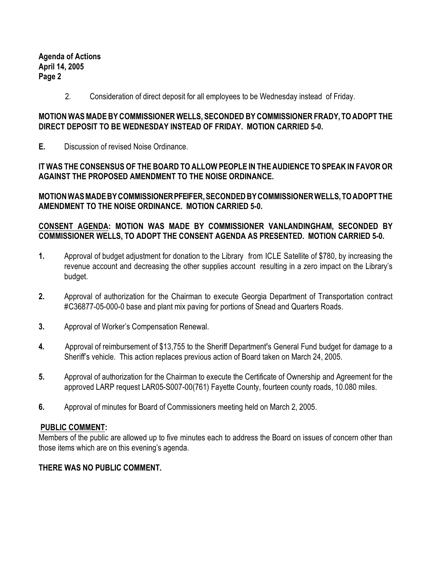**Agenda of Actions April 14, 2005 Page 2**

2. Consideration of direct deposit for all employees to be Wednesday instead of Friday.

#### **MOTION WAS MADE BY COMMISSIONER WELLS, SECONDED BY COMMISSIONER FRADY, TO ADOPT THE DIRECT DEPOSIT TO BE WEDNESDAY INSTEAD OF FRIDAY. MOTION CARRIED 5-0.**

**E.** Discussion of revised Noise Ordinance.

## **IT WAS THE CONSENSUS OF THE BOARD TO ALLOW PEOPLE IN THE AUDIENCE TO SPEAK IN FAVOR OR AGAINST THE PROPOSED AMENDMENT TO THE NOISE ORDINANCE.**

**MOTION WAS MADE BY COMMISSIONER PFEIFER, SECONDED BY COMMISSIONER WELLS, TO ADOPT THE AMENDMENT TO THE NOISE ORDINANCE. MOTION CARRIED 5-0.**

## **CONSENT AGENDA: MOTION WAS MADE BY COMMISSIONER VANLANDINGHAM, SECONDED BY COMMISSIONER WELLS, TO ADOPT THE CONSENT AGENDA AS PRESENTED. MOTION CARRIED 5-0.**

- **1.** Approval of budget adjustment for donation to the Library from ICLE Satellite of \$780, by increasing the revenue account and decreasing the other supplies account resulting in a zero impact on the Library's budget.
- **2.** Approval of authorization for the Chairman to execute Georgia Department of Transportation contract #C36877-05-000-0 base and plant mix paving for portions of Snead and Quarters Roads.
- **3.** Approval of Worker's Compensation Renewal.
- **4.** Approval of reimbursement of \$13,755 to the Sheriff Department**'**s General Fund budget for damage to a Sheriff's vehicle. This action replaces previous action of Board taken on March 24, 2005.
- **5.** Approval of authorization for the Chairman to execute the Certificate of Ownership and Agreement for the approved LARP request LAR05-S007-00(761) Fayette County, fourteen county roads, 10.080 miles.
- **6.** Approval of minutes for Board of Commissioners meeting held on March 2, 2005.

# **PUBLIC COMMENT:**

Members of the public are allowed up to five minutes each to address the Board on issues of concern other than those items which are on this evening's agenda.

# **THERE WAS NO PUBLIC COMMENT.**